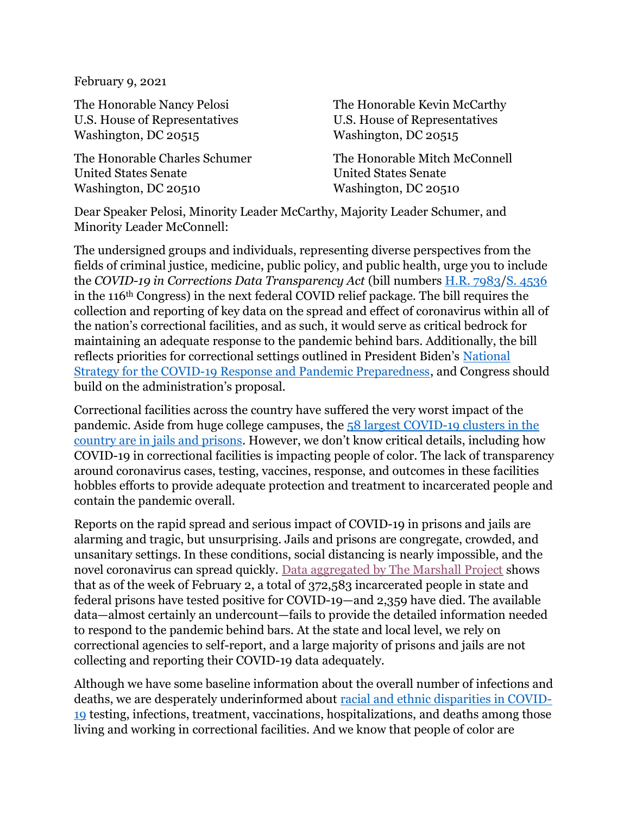February 9, 2021

The Honorable Nancy Pelosi U.S. House of Representatives Washington, DC 20515

The Honorable Charles Schumer United States Senate Washington, DC 20510

The Honorable Kevin McCarthy U.S. House of Representatives Washington, DC 20515

The Honorable Mitch McConnell United States Senate Washington, DC 20510

Dear Speaker Pelosi, Minority Leader McCarthy, Majority Leader Schumer, and Minority Leader McConnell:

The undersigned groups and individuals, representing diverse perspectives from the fields of criminal justice, medicine, public policy, and public health, urge you to include the COVID-19 in Corrections Data Transparency Act (bill numbers H.R. 7983/S. 4536 in the 116th Congress) in the next federal COVID relief package. The bill requires the collection and reporting of key data on the spread and effect of coronavirus within all of the nation's correctional facilities, and as such, it would serve as critical bedrock for maintaining an adequate response to the pandemic behind bars. Additionally, the bill reflects priorities for correctional settings outlined in President Biden's National Strategy for the COVID-19 Response and Pandemic Preparedness, and Congress should build on the administration's proposal.

Correctional facilities across the country have suffered the very worst impact of the pandemic. Aside from huge college campuses, the 58 largest COVID-19 clusters in the country are in jails and prisons. However, we don't know critical details, including how COVID-19 in correctional facilities is impacting people of color. The lack of transparency around coronavirus cases, testing, vaccines, response, and outcomes in these facilities hobbles efforts to provide adequate protection and treatment to incarcerated people and contain the pandemic overall.

Reports on the rapid spread and serious impact of COVID-19 in prisons and jails are alarming and tragic, but unsurprising. Jails and prisons are congregate, crowded, and unsanitary settings. In these conditions, social distancing is nearly impossible, and the novel coronavirus can spread quickly. Data aggregated by The Marshall Project shows that as of the week of February 2, a total of 372,583 incarcerated people in state and federal prisons have tested positive for COVID-19—and 2,359 have died. The available data—almost certainly an undercount—fails to provide the detailed information needed to respond to the pandemic behind bars. At the state and local level, we rely on correctional agencies to self-report, and a large majority of prisons and jails are not collecting and reporting their COVID-19 data adequately.

Although we have some baseline information about the overall number of infections and deaths, we are desperately underinformed about racial and ethnic disparities in COVID-19 testing, infections, treatment, vaccinations, hospitalizations, and deaths among those living and working in correctional facilities. And we know that people of color are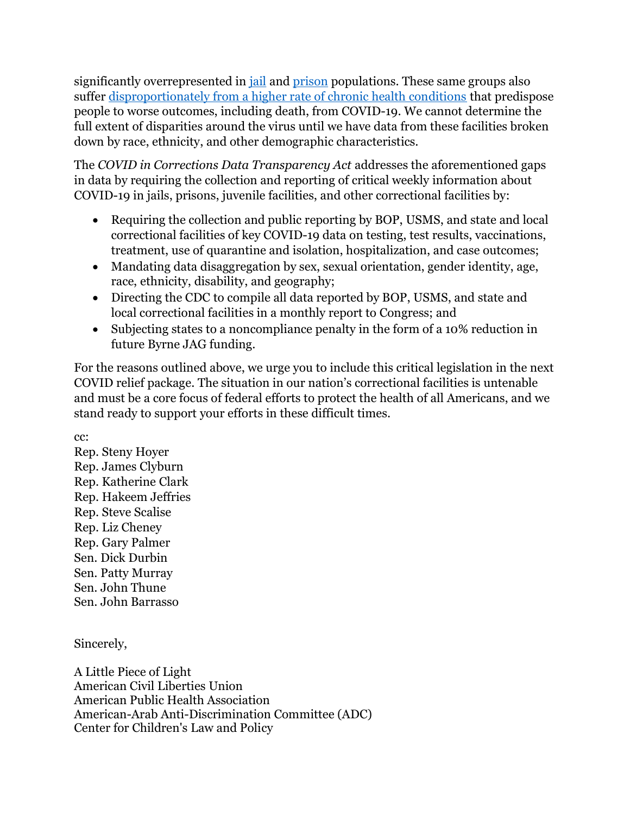significantly overrepresented in jail and prison populations. These same groups also suffer disproportionately from a higher rate of chronic health conditions that predispose people to worse outcomes, including death, from COVID-19. We cannot determine the full extent of disparities around the virus until we have data from these facilities broken down by race, ethnicity, and other demographic characteristics.

The COVID in Corrections Data Transparency Act addresses the aforementioned gaps in data by requiring the collection and reporting of critical weekly information about COVID-19 in jails, prisons, juvenile facilities, and other correctional facilities by:

- Requiring the collection and public reporting by BOP, USMS, and state and local correctional facilities of key COVID-19 data on testing, test results, vaccinations, treatment, use of quarantine and isolation, hospitalization, and case outcomes;
- Mandating data disaggregation by sex, sexual orientation, gender identity, age, race, ethnicity, disability, and geography;
- Directing the CDC to compile all data reported by BOP, USMS, and state and local correctional facilities in a monthly report to Congress; and
- Subjecting states to a noncompliance penalty in the form of a 10% reduction in future Byrne JAG funding.

For the reasons outlined above, we urge you to include this critical legislation in the next COVID relief package. The situation in our nation's correctional facilities is untenable and must be a core focus of federal efforts to protect the health of all Americans, and we stand ready to support your efforts in these difficult times.

cc:

Rep. Steny Hoyer Rep. James Clyburn Rep. Katherine Clark Rep. Hakeem Jeffries Rep. Steve Scalise Rep. Liz Cheney Rep. Gary Palmer Sen. Dick Durbin Sen. Patty Murray Sen. John Thune Sen. John Barrasso

Sincerely,

A Little Piece of Light American Civil Liberties Union American Public Health Association American-Arab Anti-Discrimination Committee (ADC) Center for Children's Law and Policy